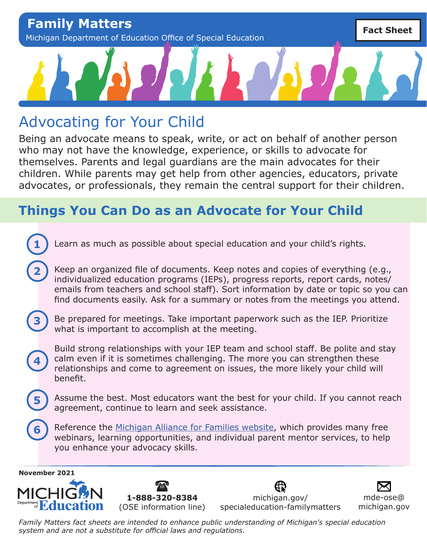# Advocating for Your Child

Being an advocate means to speak, write, or act on behalf of another person who may not have the knowledge, experience, or skills to advocate for themselves. Parents and legal guardians are the main advocates for their children. While parents may get help from other agencies, educators, private advocates, or professionals, they remain the central support for their children.

### **Things You Can Do as an Advocate for Your Child**

Learn as much as possible about special education and your child's rights.

Keep an organized file of documents. Keep notes and copies of everything (e.g., individualized education programs (IEPs), progress reports, report cards, notes/ emails from teachers and school staff). Sort information by date or topic so you can find documents easily. Ask for a summary or notes from the meetings you attend.

**3**

**1**

**2**

Be prepared for meetings. Take important paperwork such as the IEP. Prioritize what is important to accomplish at the meeting.

**4**

**5**

**6**

Build strong relationships with your IEP team and school staff. Be polite and stay calm even if it is sometimes challenging. The more you can strengthen these relationships and come to agreement on issues, the more likely your child will benefit.

Assume the best. Most educators want the best for your child. If you cannot reach agreement, continue to learn and seek assistance.

Reference the [Michigan Alliance for Families website,](http://www.michiganallianceforfamilies.org/) which provides many free webinars, learning opportunities, and individual parent mentor services, to help you enhance your advocacy skills.







[michigan.gov/](http://michigan.gov/specialeducation-familymatters) [specialeducation-familymatters](http://michigan.gov/specialeducation-familymatters)

[mde-ose@](mailto:mde-ose%40michigan.gov?subject=) [michigan.gov](mailto:mde-ose%40michigan.gov?subject=)

*Family Matters fact sheets are intended to enhance public understanding of Michigan's special education system and are not a substitute for official laws and regulations.*